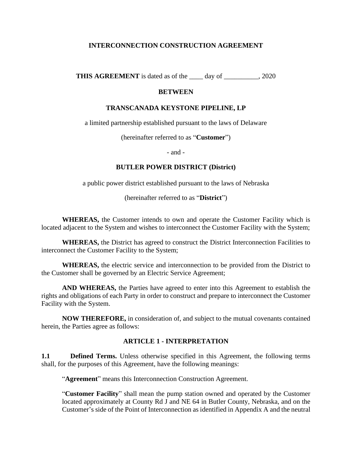### **INTERCONNECTION CONSTRUCTION AGREEMENT**

**THIS AGREEMENT** is dated as of the day of  $\qquad \qquad$ , 2020

#### **BETWEEN**

#### **TRANSCANADA KEYSTONE PIPELINE, LP**

a limited partnership established pursuant to the laws of Delaware

(hereinafter referred to as "**Customer**")

- and -

#### **BUTLER POWER DISTRICT (District)**

a public power district established pursuant to the laws of Nebraska

(hereinafter referred to as "**District**")

**WHEREAS,** the Customer intends to own and operate the Customer Facility which is located adjacent to the System and wishes to interconnect the Customer Facility with the System;

**WHEREAS,** the District has agreed to construct the District Interconnection Facilities to interconnect the Customer Facility to the System;

**WHEREAS,** the electric service and interconnection to be provided from the District to the Customer shall be governed by an Electric Service Agreement;

**AND WHEREAS,** the Parties have agreed to enter into this Agreement to establish the rights and obligations of each Party in order to construct and prepare to interconnect the Customer Facility with the System.

**NOW THEREFORE,** in consideration of, and subject to the mutual covenants contained herein, the Parties agree as follows:

## **ARTICLE 1 - INTERPRETATION**

**1.1 Defined Terms.** Unless otherwise specified in this Agreement, the following terms shall, for the purposes of this Agreement, have the following meanings:

"**Agreement**" means this Interconnection Construction Agreement.

"**Customer Facility**" shall mean the pump station owned and operated by the Customer located approximately at County Rd J and NE 64 in Butler County, Nebraska, and on the Customer's side of the Point of Interconnection as identified in Appendix A and the neutral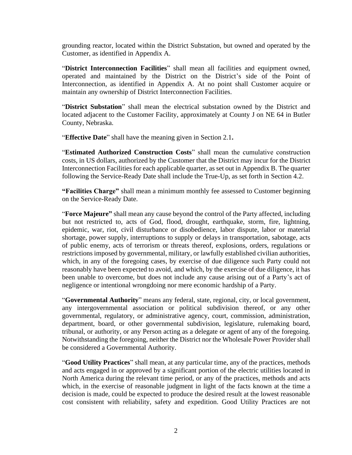grounding reactor, located within the District Substation, but owned and operated by the Customer, as identified in Appendix A.

"**District Interconnection Facilities**" shall mean all facilities and equipment owned, operated and maintained by the District on the District's side of the Point of Interconnection, as identified in Appendix A. At no point shall Customer acquire or maintain any ownership of District Interconnection Facilities.

"**District Substation**" shall mean the electrical substation owned by the District and located adjacent to the Customer Facility, approximately at County J on NE 64 in Butler County, Nebraska.

"**Effective Date**" shall have the meaning given in Section 2.1**.**

"**Estimated Authorized Construction Costs**" shall mean the cumulative construction costs, in US dollars, authorized by the Customer that the District may incur for the District Interconnection Facilities for each applicable quarter, as set out in Appendix B. The quarter following the Service-Ready Date shall include the True-Up, as set forth in Section 4.2.

**"Facilities Charge"** shall mean a minimum monthly fee assessed to Customer beginning on the Service-Ready Date.

"**Force Majeure"** shall mean any cause beyond the control of the Party affected, including but not restricted to, acts of God, flood, drought, earthquake, storm, fire, lightning, epidemic, war, riot, civil disturbance or disobedience, labor dispute, labor or material shortage, power supply, interruptions to supply or delays in transportation, sabotage, acts of public enemy, acts of terrorism or threats thereof, explosions, orders, regulations or restrictions imposed by governmental, military, or lawfully established civilian authorities, which, in any of the foregoing cases, by exercise of due diligence such Party could not reasonably have been expected to avoid, and which, by the exercise of due diligence, it has been unable to overcome, but does not include any cause arising out of a Party's act of negligence or intentional wrongdoing nor mere economic hardship of a Party.

"**Governmental Authority**" means any federal, state, regional, city, or local government, any intergovernmental association or political subdivision thereof, or any other governmental, regulatory, or administrative agency, court, commission, administration, department, board, or other governmental subdivision, legislature, rulemaking board, tribunal, or authority, or any Person acting as a delegate or agent of any of the foregoing. Notwithstanding the foregoing, neither the District nor the Wholesale Power Provider shall be considered a Governmental Authority.

"**Good Utility Practices**" shall mean, at any particular time, any of the practices, methods and acts engaged in or approved by a significant portion of the electric utilities located in North America during the relevant time period, or any of the practices, methods and acts which, in the exercise of reasonable judgment in light of the facts known at the time a decision is made, could be expected to produce the desired result at the lowest reasonable cost consistent with reliability, safety and expedition. Good Utility Practices are not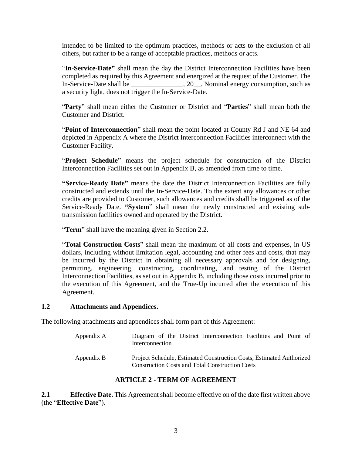intended to be limited to the optimum practices, methods or acts to the exclusion of all others, but rather to be a range of acceptable practices, methods or acts.

"**In-Service-Date"** shall mean the day the District Interconnection Facilities have been completed as required by this Agreement and energized at the request of the Customer. The In-Service-Date shall be \_\_\_\_\_\_\_\_\_\_\_\_\_\_\_, 20\_\_. Nominal energy consumption, such as a security light, does not trigger the In-Service-Date.

"**Party**" shall mean either the Customer or District and "**Parties**" shall mean both the Customer and District.

"**Point of Interconnection**" shall mean the point located at County Rd J and NE 64 and depicted in Appendix A where the District Interconnection Facilities interconnect with the Customer Facility.

"**Project Schedule**" means the project schedule for construction of the District Interconnection Facilities set out in Appendix B, as amended from time to time.

**"Service-Ready Date"** means the date the District Interconnection Facilities are fully constructed and extends until the In-Service-Date. To the extent any allowances or other credits are provided to Customer, such allowances and credits shall be triggered as of the Service-Ready Date. **"System**" shall mean the newly constructed and existing subtransmission facilities owned and operated by the District.

"**Term**" shall have the meaning given in Section 2.2.

"**Total Construction Costs**" shall mean the maximum of all costs and expenses, in US dollars, including without limitation legal, accounting and other fees and costs, that may be incurred by the District in obtaining all necessary approvals and for designing, permitting, engineering, constructing, coordinating, and testing of the District Interconnection Facilities, as set out in Appendix B, including those costs incurred prior to the execution of this Agreement, and the True-Up incurred after the execution of this Agreement.

#### **1.2 Attachments and Appendices.**

The following attachments and appendices shall form part of this Agreement:

Appendix A Diagram of the District Interconnection Facilities and Point of Interconnection Appendix B Project Schedule, Estimated Construction Costs, Estimated Authorized Construction Costs and Total Construction Costs

## **ARTICLE 2 - TERM OF AGREEMENT**

**2.1 Effective Date.** This Agreement shall become effective on of the date first written above (the "**Effective Date**").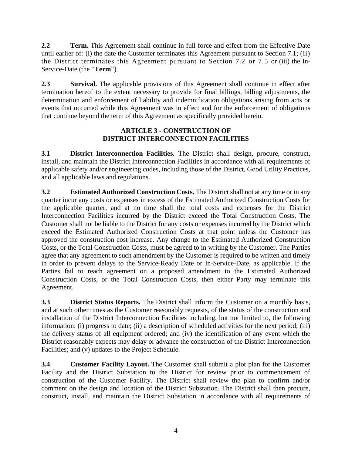**2.2 Term.** This Agreement shall continue in full force and effect from the Effective Date until earlier of: (i) the date the Customer terminates this Agreement pursuant to Section 7.1; (ii) the District terminates this Agreement pursuant to Section 7.2 or 7.5 or (iii) the In-Service-Date (the "**Term**").

**2.3 Survival.** The applicable provisions of this Agreement shall continue in effect after termination hereof to the extent necessary to provide for final billings, billing adjustments, the determination and enforcement of liability and indemnification obligations arising from acts or events that occurred while this Agreement was in effect and for the enforcement of obligations that continue beyond the term of this Agreement as specifically provided herein.

## **ARTICLE 3 - CONSTRUCTION OF DISTRICT INTERCONNECTION FACILITIES**

**3.1 District Interconnection Facilities.** The District shall design, procure, construct, install, and maintain the District Interconnection Facilities in accordance with all requirements of applicable safety and/or engineering codes, including those of the District, Good Utility Practices, and all applicable laws and regulations.

**3.2 Estimated Authorized Construction Costs.** The District shall not at any time or in any quarter incur any costs or expenses in excess of the Estimated Authorized Construction Costs for the applicable quarter, and at no time shall the total costs and expenses for the District Interconnection Facilities incurred by the District exceed the Total Construction Costs. The Customer shall not be liable to the District for any costs or expenses incurred by the District which exceed the Estimated Authorized Construction Costs at that point unless the Customer has approved the construction cost increase. Any change to the Estimated Authorized Construction Costs, or the Total Construction Costs, must be agreed to in writing by the Customer. The Parties agree that any agreement to such amendment by the Customer is required to be written and timely in order to prevent delays to the Service-Ready Date or In-Service-Date, as applicable. If the Parties fail to reach agreement on a proposed amendment to the Estimated Authorized Construction Costs, or the Total Construction Costs, then either Party may terminate this Agreement.

**3.3 District Status Reports.** The District shall inform the Customer on a monthly basis, and at such other times as the Customer reasonably requests, of the status of the construction and installation of the District Interconnection Facilities including, but not limited to, the following information: (i) progress to date; (ii) a description of scheduled activities for the next period; (iii) the delivery status of all equipment ordered; and (iv) the identification of any event which the District reasonably expects may delay or advance the construction of the District Interconnection Facilities; and (v) updates to the Project Schedule.

**3.4 Customer Facility Layout.** The Customer shall submit a plot plan for the Customer Facility and the District Substation to the District for review prior to commencement of construction of the Customer Facility. The District shall review the plan to confirm and/or comment on the design and location of the District Substation. The District shall then procure, construct, install, and maintain the District Substation in accordance with all requirements of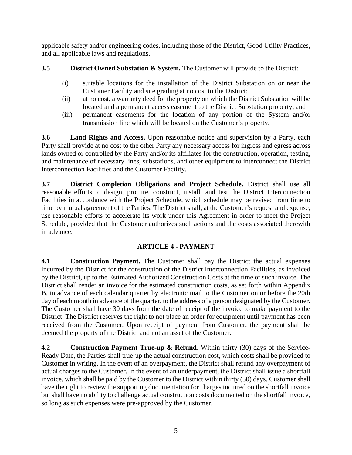applicable safety and/or engineering codes, including those of the District, Good Utility Practices, and all applicable laws and regulations.

**3.5 District Owned Substation & System.** The Customer will provide to the District:

- (i) suitable locations for the installation of the District Substation on or near the Customer Facility and site grading at no cost to the District;
- (ii) at no cost, a warranty deed for the property on which the District Substation will be located and a permanent access easement to the District Substation property; and
- (iii) permanent easements for the location of any portion of the System and/or transmission line which will be located on the Customer's property.

**3.6 Land Rights and Access.** Upon reasonable notice and supervision by a Party, each Party shall provide at no cost to the other Party any necessary access for ingress and egress across lands owned or controlled by the Party and/or its affiliates for the construction, operation, testing, and maintenance of necessary lines, substations, and other equipment to interconnect the District Interconnection Facilities and the Customer Facility.

**3.7 District Completion Obligations and Project Schedule.** District shall use all reasonable efforts to design, procure, construct, install, and test the District Interconnection Facilities in accordance with the Project Schedule, which schedule may be revised from time to time by mutual agreement of the Parties. The District shall, at the Customer's request and expense, use reasonable efforts to accelerate its work under this Agreement in order to meet the Project Schedule, provided that the Customer authorizes such actions and the costs associated therewith in advance.

# **ARTICLE 4 - PAYMENT**

**4.1 Construction Payment.** The Customer shall pay the District the actual expenses incurred by the District for the construction of the District Interconnection Facilities, as invoiced by the District, up to the Estimated Authorized Construction Costs at the time of such invoice. The District shall render an invoice for the estimated construction costs, as set forth within Appendix B, in advance of each calendar quarter by electronic mail to the Customer on or before the 20th day of each month in advance of the quarter, to the address of a person designated by the Customer. The Customer shall have 30 days from the date of receipt of the invoice to make payment to the District. The District reserves the right to not place an order for equipment until payment has been received from the Customer. Upon receipt of payment from Customer, the payment shall be deemed the property of the District and not an asset of the Customer.

**4.2 Construction Payment True-up & Refund**. Within thirty (30) days of the Service-Ready Date, the Parties shall true-up the actual construction cost, which costs shall be provided to Customer in writing. In the event of an overpayment, the District shall refund any overpayment of actual charges to the Customer. In the event of an underpayment, the District shall issue a shortfall invoice, which shall be paid by the Customer to the District within thirty (30) days. Customer shall have the right to review the supporting documentation for charges incurred on the shortfall invoice but shall have no ability to challenge actual construction costs documented on the shortfall invoice, so long as such expenses were pre-approved by the Customer.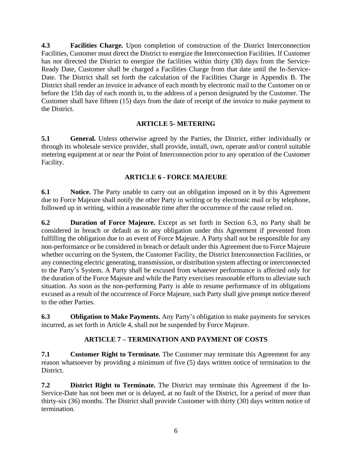**4.3 Facilities Charge.** Upon completion of construction of the District Interconnection Facilities, Customer must direct the District to energize the Interconnection Facilities. If Customer has not directed the District to energize the facilities within thirty (30) days from the Service-Ready Date, Customer shall be charged a Facilities Charge from that date until the In-Service-Date. The District shall set forth the calculation of the Facilities Charge in Appendix B. The District shall render an invoice in advance of each month by electronic mail to the Customer on or before the 15th day of each month in, to the address of a person designated by the Customer. The Customer shall have fifteen (15) days from the date of receipt of the invoice to make payment to the District.

## **ARTICLE 5- METERING**

**5.1 General.** Unless otherwise agreed by the Parties, the District, either individually or through its wholesale service provider, shall provide, install, own, operate and/or control suitable metering equipment at or near the Point of Interconnection prior to any operation of the Customer Facility.

## **ARTICLE 6 - FORCE MAJEURE**

**6.1 Notice.** The Party unable to carry out an obligation imposed on it by this Agreement due to Force Majeure shall notify the other Party in writing or by electronic mail or by telephone, followed up in writing, within a reasonable time after the occurrence of the cause relied on.

**6.2 Duration of Force Majeure.** Except as set forth in Section 6.3, no Party shall be considered in breach or default as to any obligation under this Agreement if prevented from fulfilling the obligation due to an event of Force Majeure. A Party shall not be responsible for any non-performance or be considered in breach or default under this Agreement due to Force Majeure whether occurring on the System, the Customer Facility, the District Interconnection Facilities, or any connecting electric generating, transmission, or distribution system affecting or interconnected to the Party's System. A Party shall be excused from whatever performance is affected only for the duration of the Force Majeure and while the Party exercises reasonable efforts to alleviate such situation. As soon as the non-performing Party is able to resume performance of its obligations excused as a result of the occurrence of Force Majeure, such Party shall give prompt notice thereof to the other Parties.

**6.3 Obligation to Make Payments.** Any Party's obligation to make payments for services incurred, as set forth in Article 4, shall not be suspended by Force Majeure.

## **ARTICLE 7 – TERMINATION AND PAYMENT OF COSTS**

**7.1 Customer Right to Terminate.** The Customer may terminate this Agreement for any reason whatsoever by providing a minimum of five (5) days written notice of termination to the District.

**7.2 District Right to Terminate.** The District may terminate this Agreement if the In-Service-Date has not been met or is delayed, at no fault of the District, for a period of more than thirty-six (36) months. The District shall provide Customer with thirty (30) days written notice of termination.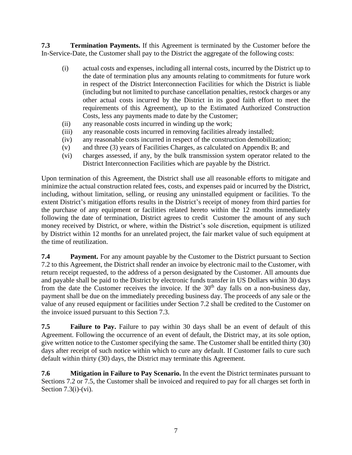**7.3 Termination Payments.** If this Agreement is terminated by the Customer before the In-Service-Date, the Customer shall pay to the District the aggregate of the following costs:

- (i) actual costs and expenses, including all internal costs, incurred by the District up to the date of termination plus any amounts relating to commitments for future work in respect of the District Interconnection Facilities for which the District is liable (including but not limited to purchase cancellation penalties, restock charges or any other actual costs incurred by the District in its good faith effort to meet the requirements of this Agreement), up to the Estimated Authorized Construction Costs, less any payments made to date by the Customer;
- (ii) any reasonable costs incurred in winding up the work;
- (iii) any reasonable costs incurred in removing facilities already installed;
- (iv) any reasonable costs incurred in respect of the construction demobilization;
- (v) and three (3) years of Facilities Charges, as calculated on Appendix B; and
- (vi) charges assessed, if any, by the bulk transmission system operator related to the District Interconnection Facilities which are payable by the District.

Upon termination of this Agreement, the District shall use all reasonable efforts to mitigate and minimize the actual construction related fees, costs, and expenses paid or incurred by the District, including, without limitation, selling, or reusing any uninstalled equipment or facilities. To the extent District's mitigation efforts results in the District's receipt of money from third parties for the purchase of any equipment or facilities related hereto within the 12 months immediately following the date of termination, District agrees to credit Customer the amount of any such money received by District, or where, within the District's sole discretion, equipment is utilized by District within 12 months for an unrelated project, the fair market value of such equipment at the time of reutilization.

**7.4 Payment.** For any amount payable by the Customer to the District pursuant to Section 7.2 to this Agreement, the District shall render an invoice by electronic mail to the Customer, with return receipt requested, to the address of a person designated by the Customer. All amounts due and payable shall be paid to the District by electronic funds transfer in US Dollars within 30 days from the date the Customer receives the invoice. If the  $30<sup>th</sup>$  day falls on a non-business day, payment shall be due on the immediately preceding business day. The proceeds of any sale or the value of any reused equipment or facilities under Section 7.2 shall be credited to the Customer on the invoice issued pursuant to this Section 7.3.

**7.5 Failure to Pay.** Failure to pay within 30 days shall be an event of default of this Agreement. Following the occurrence of an event of default, the District may, at its sole option, give written notice to the Customer specifying the same. The Customer shall be entitled thirty (30) days after receipt of such notice within which to cure any default. If Customer fails to cure such default within thirty (30) days, the District may terminate this Agreement.

**7.6 Mitigation in Failure to Pay Scenario.** In the event the District terminates pursuant to Sections 7.2 or 7.5, the Customer shall be invoiced and required to pay for all charges set forth in Section 7.3(i)-(vi).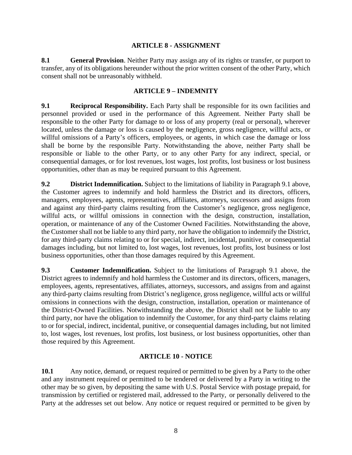## **ARTICLE 8 - ASSIGNMENT**

**8.1 General Provision**. Neither Party may assign any of its rights or transfer, or purport to transfer, any of its obligations hereunder without the prior written consent of the other Party, which consent shall not be unreasonably withheld.

## **ARTICLE 9 – INDEMNITY**

**9.1 Reciprocal Responsibility.** Each Party shall be responsible for its own facilities and personnel provided or used in the performance of this Agreement. Neither Party shall be responsible to the other Party for damage to or loss of any property (real or personal), wherever located, unless the damage or loss is caused by the negligence, gross negligence, willful acts, or willful omissions of a Party's officers, employees, or agents, in which case the damage or loss shall be borne by the responsible Party. Notwithstanding the above, neither Party shall be responsible or liable to the other Party, or to any other Party for any indirect, special, or consequential damages, or for lost revenues, lost wages, lost profits, lost business or lost business opportunities, other than as may be required pursuant to this Agreement.

**9.2 District Indemnification.** Subject to the limitations of liability in Paragraph 9.1 above, the Customer agrees to indemnify and hold harmless the District and its directors, officers, managers, employees, agents, representatives, affiliates, attorneys, successors and assigns from and against any third-party claims resulting from the Customer's negligence, gross negligence, willful acts, or willful omissions in connection with the design, construction, installation, operation, or maintenance of any of the Customer Owned Facilities. Notwithstanding the above, the Customer shall not be liable to any third party, nor have the obligation to indemnify the District, for any third-party claims relating to or for special, indirect, incidental, punitive, or consequential damages including, but not limited to, lost wages, lost revenues, lost profits, lost business or lost business opportunities, other than those damages required by this Agreement.

**9.3 Customer Indemnification.** Subject to the limitations of Paragraph 9.1 above, the District agrees to indemnify and hold harmless the Customer and its directors, officers, managers, employees, agents, representatives, affiliates, attorneys, successors, and assigns from and against any third-party claims resulting from District's negligence, gross negligence, willful acts or willful omissions in connections with the design, construction, installation, operation or maintenance of the District-Owned Facilities. Notwithstanding the above, the District shall not be liable to any third party, nor have the obligation to indemnify the Customer, for any third-party claims relating to or for special, indirect, incidental, punitive, or consequential damages including, but not limited to, lost wages, lost revenues, lost profits, lost business, or lost business opportunities, other than those required by this Agreement.

## **ARTICLE 10 - NOTICE**

**10.1** Any notice, demand, or request required or permitted to be given by a Party to the other and any instrument required or permitted to be tendered or delivered by a Party in writing to the other may be so given, by depositing the same with U.S. Postal Service with postage prepaid, for transmission by certified or registered mail, addressed to the Party, or personally delivered to the Party at the addresses set out below. Any notice or request required or permitted to be given by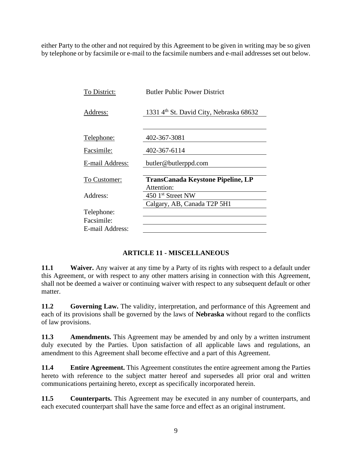either Party to the other and not required by this Agreement to be given in writing may be so given by telephone or by facsimile or e-mail to the facsimile numbers and e-mail addresses set out below.

| To District:      | <b>Butler Public Power District</b>      |  |  |
|-------------------|------------------------------------------|--|--|
| Address:          | 1331 4th St. David City, Nebraska 68632  |  |  |
|                   |                                          |  |  |
| <u>Telephone:</u> | 402-367-3081                             |  |  |
| Facsimile:        | 402-367-6114                             |  |  |
| E-mail Address:   | butler@butlerppd.com                     |  |  |
| To Customer:      | <b>TransCanada Keystone Pipeline, LP</b> |  |  |
|                   | Attention:                               |  |  |
| Address:          | 450 1 <sup>st</sup> Street NW            |  |  |
|                   | Calgary, AB, Canada T2P 5H1              |  |  |
| Telephone:        |                                          |  |  |
| Facsimile:        |                                          |  |  |
| E-mail Address:   |                                          |  |  |

## **ARTICLE 11 - MISCELLANEOUS**

**11.1 Waiver.** Any waiver at any time by a Party of its rights with respect to a default under this Agreement, or with respect to any other matters arising in connection with this Agreement, shall not be deemed a waiver or continuing waiver with respect to any subsequent default or other matter.

**11.2 Governing Law.** The validity, interpretation, and performance of this Agreement and each of its provisions shall be governed by the laws of **Nebraska** without regard to the conflicts of law provisions.

**11.3 Amendments.** This Agreement may be amended by and only by a written instrument duly executed by the Parties. Upon satisfaction of all applicable laws and regulations, an amendment to this Agreement shall become effective and a part of this Agreement.

**11.4 Entire Agreement.** This Agreement constitutes the entire agreement among the Parties hereto with reference to the subject matter hereof and supersedes all prior oral and written communications pertaining hereto, except as specifically incorporated herein.

**11.5 Counterparts.** This Agreement may be executed in any number of counterparts, and each executed counterpart shall have the same force and effect as an original instrument.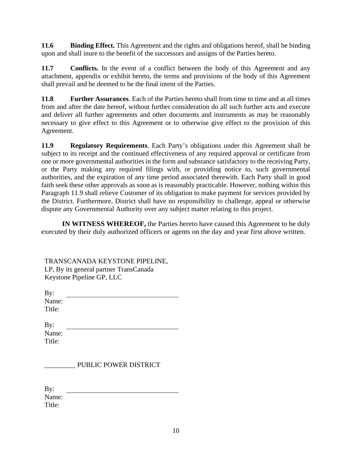**11.6 Binding Effect.** This Agreement and the rights and obligations hereof, shall be binding upon and shall inure to the benefit of the successors and assigns of the Parties hereto.

**11.7 Conflicts.** In the event of a conflict between the body of this Agreement and any attachment, appendix or exhibit hereto, the terms and provisions of the body of this Agreement shall prevail and be deemed to be the final intent of the Parties.

**11.8 Further Assurances**. Each of the Parties hereto shall from time to time and at all times from and after the date hereof, without further consideration do all such further acts and execute and deliver all further agreements and other documents and instruments as may be reasonably necessary to give effect to this Agreement or to otherwise give effect to the provision of this Agreement.

**11.9 Regulatory Requirements**. Each Party's obligations under this Agreement shall be subject to its receipt and the continued effectiveness of any required approval or certificate from one or more governmental authorities in the form and substance satisfactory to the receiving Party, or the Party making any required filings with, or providing notice to, such governmental authorities, and the expiration of any time period associated therewith. Each Party shall in good faith seek these other approvals as soon as is reasonably practicable. However, nothing within this Paragraph 11.9 shall relieve Customer of its obligation to make payment for services provided by the District. Furthermore, District shall have no responsibility to challenge, appeal or otherwise dispute any Governmental Authority over any subject matter relating to this project.

**IN WITNESS WHEREOF,** the Parties hereto have caused this Agreement to be duly executed by their duly authorized officers or agents on the day and year first above written.

| TRANSCANADA KEYSTONE PIPELINE,<br>LP, By its general partner TransCanada<br>Keystone Pipeline GP, LLC |
|-------------------------------------------------------------------------------------------------------|
| By:                                                                                                   |
| Name:                                                                                                 |
| Title:                                                                                                |
| By:                                                                                                   |
| Name:                                                                                                 |
| Title:                                                                                                |
| <b>PUBLIC POWER DISTRICT</b>                                                                          |

By: Name: Title: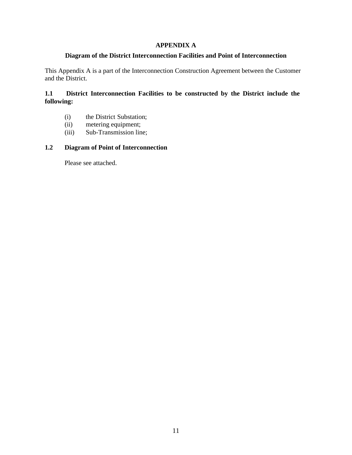## **APPENDIX A**

#### **Diagram of the District Interconnection Facilities and Point of Interconnection**

This Appendix A is a part of the Interconnection Construction Agreement between the Customer and the District.

## **1.1 District Interconnection Facilities to be constructed by the District include the following:**

- (i) the District Substation;
- (ii) metering equipment;
- (iii) Sub-Transmission line;

## **1.2 Diagram of Point of Interconnection**

Please see attached.